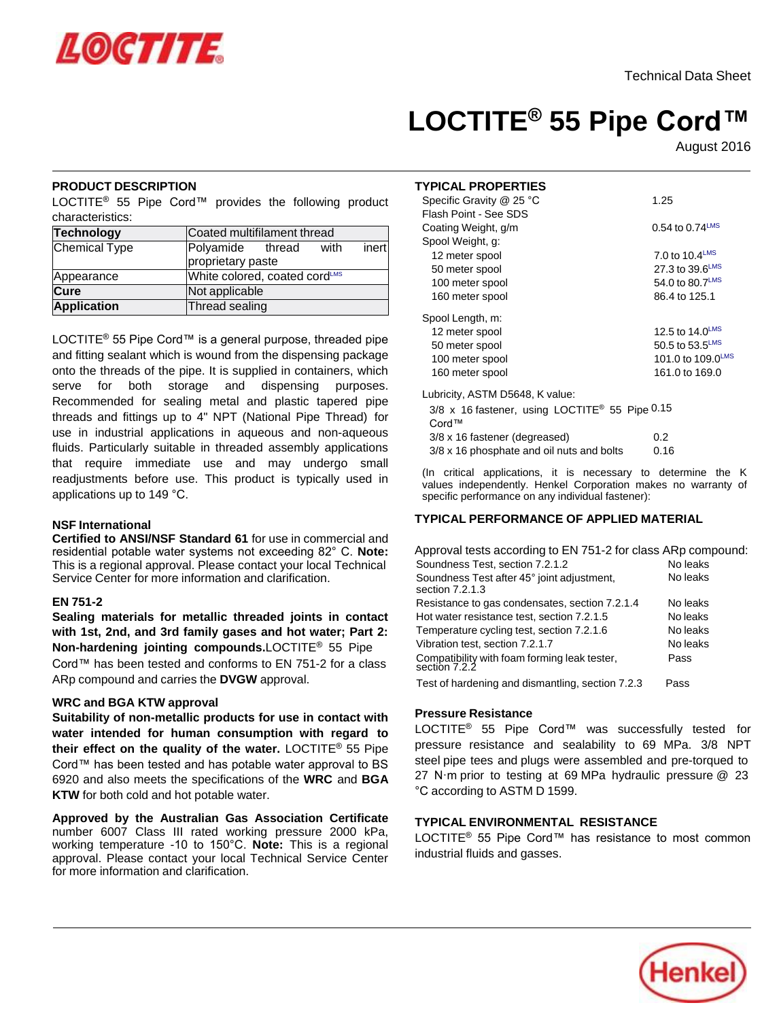# **LOCTITE® 55 Pipe Cord™**

August 2016

#### **PRODUCT DESCRIPTION**

LOCTITE<sup>®</sup> 55 Pipe Cord™ provides the following product characteristics:

| Technology           | Coated multifilament thread   |  |      |       |
|----------------------|-------------------------------|--|------|-------|
| <b>Chemical Type</b> | Polyamide thread              |  | with | inert |
|                      | proprietary paste             |  |      |       |
| Appearance           | White colored, coated cordLMS |  |      |       |
| Cure                 | Not applicable                |  |      |       |
| <b>Application</b>   | Thread sealing                |  |      |       |

LOCTITE<sup>®</sup> 55 Pipe Cord™ is a general purpose, threaded pipe and fitting sealant which is wound from the dispensing package onto the threads of the pipe. It is supplied in containers, which serve for both storage and dispensing purposes. Recommended for sealing metal and plastic tapered pipe threads and fittings up to 4" NPT (National Pipe Thread) for use in industrial applications in aqueous and non-aqueous fluids. Particularly suitable in threaded assembly applications that require immediate use and may undergo small readjustments before use. This product is typically used in applications up to 149 °C.

#### **NSF International**

**Certified to ANSI/NSF Standard 61** for use in commercial and residential potable water systems not exceeding 82° C. **Note:** This is a regional approval. Please contact your local Technical Service Center for more information and clarification.

## **EN 751-2**

**Sealing materials for metallic threaded joints in contact with 1st, 2nd, and 3rd family gases and hot water; Part 2: Non-hardening jointing compounds.**LOCTITE® 55 Pipe Cord™ has been tested and conforms to EN 751-2 for a class ARp compound and carries the **DVGW** approval.

#### **WRC and BGA KTW approval**

**Suitability of non-metallic products for use in contact with water intended for human consumption with regard to their effect on the quality of the water.** LOCTITE® 55 Pipe Cord™ has been tested and has potable water approval to BS 6920 and also meets the specifications of the **WRC** and **BGA KTW** for both cold and hot potable water.

**Approved by the Australian Gas Association Certificate** number 6007 Class III rated working pressure 2000 kPa, working temperature -10 to 150°C. **Note:** This is a regional approval. Please contact your local Technical Service Center for more information and clarification.

#### **TYPICAL PROPERTIES**

| Specific Gravity @ 25 °C                                            | 1.25                          |
|---------------------------------------------------------------------|-------------------------------|
| Flash Point - See SDS                                               |                               |
| Coating Weight, g/m                                                 | $0.54$ to $0.74^{\text{LMS}}$ |
| Spool Weight, g:                                                    |                               |
| 12 meter spool                                                      | 7.0 to 10.4LMS                |
| 50 meter spool                                                      | 27.3 to 39.6LMS               |
| 100 meter spool                                                     | 54.0 to 80.7LMS               |
| 160 meter spool                                                     | 86.4 to 125.1                 |
| Spool Length, m:                                                    |                               |
| 12 meter spool                                                      | 12.5 to 14.0LMS               |
| 50 meter spool                                                      | 50.5 to 53.5LMS               |
| 100 meter spool                                                     | 101.0 to 109.0LMS             |
| 160 meter spool                                                     | 161.0 to 169.0                |
| Lubricity, ASTM D5648, K value:                                     |                               |
| 3/8 x 16 fastener, using LOCTITE <sup>®</sup> 55 Pipe 0.15<br>Cord™ |                               |
| 3/8 x 16 fastener (degreased)                                       | 0.2                           |

(In critical applications, it is necessary to determine the K values independently. Henkel Corporation makes no warranty of specific performance on any individual fastener):

#### **TYPICAL PERFORMANCE OF APPLIED MATERIAL**

3/8 x 16 phosphate and oil nuts and bolts 0.16

| Approval tests according to EN 751-2 for class ARp compound:  |          |
|---------------------------------------------------------------|----------|
| Soundness Test, section 7.2.1.2                               | No leaks |
| Soundness Test after 45° joint adjustment,<br>section 7.2.1.3 | No leaks |
| Resistance to gas condensates, section 7.2.1.4                | No leaks |
| Hot water resistance test, section 7.2.1.5                    | No leaks |
| Temperature cycling test, section 7.2.1.6                     | No leaks |
| Vibration test, section 7.2.1.7                               | No leaks |
| Compatibility with foam forming leak tester,<br>section 7.2.2 | Pass     |
| Test of hardening and dismantling, section 7.2.3              | Pass     |

## **Pressure Resistance**

LOCTITE® 55 Pipe Cord™ was successfully tested for pressure resistance and sealability to 69 MPa. 3/8 NPT steel pipe tees and plugs were assembled and pre-torqued to 27 N·m prior to testing at 69 MPa hydraulic pressure @ 23 °C according to ASTM D 1599.

## **TYPICAL ENVIRONMENTAL RESISTANCE**

LOCTITE® 55 Pipe Cord™ has resistance to most common industrial fluids and gasses.

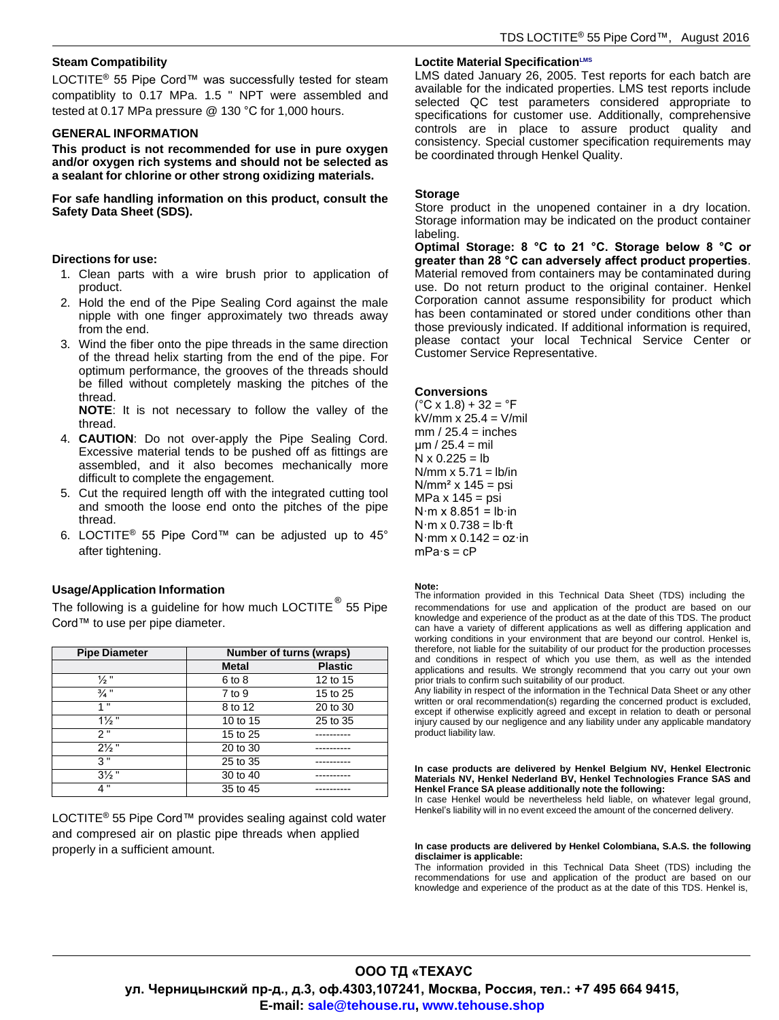#### **Steam Compatibility**

LOCTITE<sup>®</sup> 55 Pipe Cord™ was successfully tested for steam compatiblity to 0.17 MPa. 1.5 " NPT were assembled and tested at 0.17 MPa pressure @ 130 °C for 1,000 hours.

#### **GENERAL INFORMATION**

**This product is not recommended for use in pure oxygen and/or oxygen rich systems and should not be selected as a sealant for chlorine or other strong oxidizing materials.**

**For safe handling information on this product, consult the Safety Data Sheet (SDS).**

#### **Directions for use:**

- 1. Clean parts with a wire brush prior to application of product.
- 2. Hold the end of the Pipe Sealing Cord against the male nipple with one finger approximately two threads away from the end.
- 3. Wind the fiber onto the pipe threads in the same direction of the thread helix starting from the end of the pipe. For optimum performance, the grooves of the threads should be filled without completely masking the pitches of the thread.

**NOTE**: It is not necessary to follow the valley of the thread.

- 4. **CAUTION**: Do not over-apply the Pipe Sealing Cord. Excessive material tends to be pushed off as fittings are assembled, and it also becomes mechanically more difficult to complete the engagement.
- 5. Cut the required length off with the integrated cutting tool and smooth the loose end onto the pitches of the pipe thread.
- 6. LOCTITE® 55 Pipe Cord™ can be adjusted up to 45° after tightening.

# **Usage/Application Information Note:**

The following is a guideline for how much LOCTITE  $^{\circledR}$ Cord™ to use per pipe diameter.

| <b>Pipe Diameter</b> |              | Number of turns (wraps) |  |  |
|----------------------|--------------|-------------------------|--|--|
|                      | <b>Metal</b> | <b>Plastic</b>          |  |  |
| $\frac{1}{2}$ "      | 6 to 8       | 12 to 15                |  |  |
| $\frac{3}{4}$ "      | 7 to 9       | 15 to 25                |  |  |
| 1"                   | 8 to 12      | 20 to 30                |  |  |
| $1\frac{1}{2}$ "     | 10 to 15     | 25 to 35                |  |  |
| 2"                   | 15 to 25     |                         |  |  |
| $2\frac{1}{2}$ "     | 20 to 30     |                         |  |  |
| 3"                   | 25 to 35     |                         |  |  |
| $3\frac{1}{2}$ "     | 30 to 40     |                         |  |  |
| 4 "                  | 35 to 45     |                         |  |  |

LOCTITE<sup>®</sup> 55 Pipe Cord™ provides sealing against cold water and compresed air on plastic pipe threads when applied

#### **Loctite Material SpecificationLMS**

LMS dated January 26, 2005. Test reports for each batch are available for the indicated properties. LMS test reports include selected QC test parameters considered appropriate to specifications for customer use. Additionally, comprehensive controls are in place to assure product quality and consistency. Special customer specification requirements may be coordinated through Henkel Quality.

#### **Storage**

Store product in the unopened container in a dry location. Storage information may be indicated on the product container labeling.

**Optimal Storage: 8 °C to 21 °C. Storage below 8 °C or greater than 28 °C can adversely affect product properties**. Material removed from containers may be contaminated during use. Do not return product to the original container. Henkel Corporation cannot assume responsibility for product which has been contaminated or stored under conditions other than those previously indicated. If additional information is required, please contact your local Technical Service Center or Customer Service Representative.

#### **Conversions**

 $(^{\circ}C \times 1.8) + 32 = ^{\circ}F$ kV/mm  $x$  25.4 = V/mil  $mm / 25.4 = inches$  $\mu$ m / 25.4 = mil  $N \times 0.225 = lb$ N/mm  $x$  5.71 = lb/in  $N/mm<sup>2</sup>$  x 145 = psi MPa  $x$  145 = psi  $N·m \times 8.851 = lb·in$  $N·m \times 0.738 = lb·ft$  $N·mm \times 0.142 = oz·in$  $mPa·s = cP$ 

The information provided in this Technical Data Sheet (TDS) including the recommendations for use and application of the product are based on our knowledge and experience of the product as at the date of this TDS. The product can have a variety of different applications as well as differing application and working conditions in your environment that are beyond our control. Henkel is, therefore, not liable for the suitability of our product for the production processes and conditions in respect of which you use them, as well as the intended applications and results. We strongly recommend that you carry out your own prior trials to confirm such suitability of our product.

Any liability in respect of the information in the Technical Data Sheet or any other written or oral recommendation(s) regarding the concerned product is excluded, except if otherwise explicitly agreed and except in relation to death or personal injury caused by our negligence and any liability under any applicable mandatory product liability law.

**In case products are delivered by Henkel Belgium NV, Henkel Electronic Materials NV, Henkel Nederland BV, Henkel Technologies France SAS and Henkel France SA please additionally note the following:**

In case Henkel would be nevertheless held liable, on whatever legal ground, Henkel's liability will in no event exceed the amount of the concerned delivery.

#### properly in a sufficient amount. **In case products are delivered by Henkel Colombiana, S.A.S. the following disclaimer is applicable:**

The information provided in this Technical Data Sheet (TDS) including the recommendations for use and application of the product are based on our knowledge and experience of the product as at the date of this TDS. Henkel is,

# **ООО ТД «ТЕХАУС ул. Черницынский пр-д., д.3, оф.4303,107241, Москва, Россия, тел.: +7 495 664 9415, E-mail: sale@tehouse.ru, www.tehouse.shop**